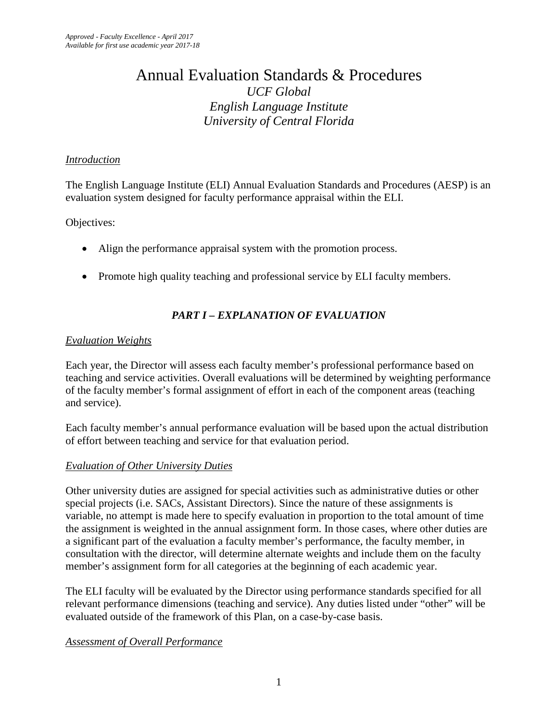# Annual Evaluation Standards & Procedures *UCF Global English Language Institute University of Central Florida*

## *Introduction*

The English Language Institute (ELI) Annual Evaluation Standards and Procedures (AESP) is an evaluation system designed for faculty performance appraisal within the ELI.

Objectives:

- Align the performance appraisal system with the promotion process.
- Promote high quality teaching and professional service by ELI faculty members.

## *PART I – EXPLANATION OF EVALUATION*

## *Evaluation Weights*

Each year, the Director will assess each faculty member's professional performance based on teaching and service activities. Overall evaluations will be determined by weighting performance of the faculty member's formal assignment of effort in each of the component areas (teaching and service).

Each faculty member's annual performance evaluation will be based upon the actual distribution of effort between teaching and service for that evaluation period.

## *Evaluation of Other University Duties*

Other university duties are assigned for special activities such as administrative duties or other special projects (i.e. SACs, Assistant Directors). Since the nature of these assignments is variable, no attempt is made here to specify evaluation in proportion to the total amount of time the assignment is weighted in the annual assignment form. In those cases, where other duties are a significant part of the evaluation a faculty member's performance, the faculty member, in consultation with the director, will determine alternate weights and include them on the faculty member's assignment form for all categories at the beginning of each academic year.

The ELI faculty will be evaluated by the Director using performance standards specified for all relevant performance dimensions (teaching and service). Any duties listed under "other" will be evaluated outside of the framework of this Plan, on a case-by-case basis.

## *Assessment of Overall Performance*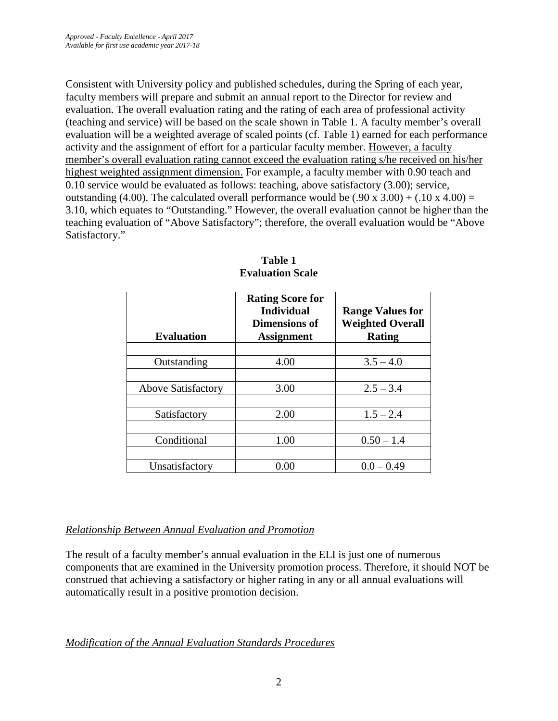Consistent with University policy and published schedules, during the Spring of each year, faculty members will prepare and submit an annual report to the Director for review and evaluation. The overall evaluation rating and the rating of each area of professional activity (teaching and service) will be based on the scale shown in Table 1. A faculty member's overall evaluation will be a weighted average of scaled points (cf. Table 1) earned for each performance activity and the assignment of effort for a particular faculty member. However, a faculty member's overall evaluation rating cannot exceed the evaluation rating s/he received on his/her highest weighted assignment dimension. For example, a faculty member with 0.90 teach and 0.10 service would be evaluated as follows: teaching, above satisfactory (3.00); service, outstanding (4.00). The calculated overall performance would be  $(.90 \times 3.00) + (.10 \times 4.00) =$ 3.10, which equates to "Outstanding." However, the overall evaluation cannot be higher than the teaching evaluation of "Above Satisfactory"; therefore, the overall evaluation would be "Above Satisfactory."

| <b>Evaluation</b>         | <b>Rating Score for</b><br><b>Individual</b><br>Dimensions of<br><b>Assignment</b> | <b>Range Values for</b><br><b>Weighted Overall</b><br>Rating |
|---------------------------|------------------------------------------------------------------------------------|--------------------------------------------------------------|
|                           |                                                                                    |                                                              |
| Outstanding               | 4.00                                                                               | $3.5 - 4.0$                                                  |
|                           |                                                                                    |                                                              |
| <b>Above Satisfactory</b> | 3.00                                                                               | $2.5 - 3.4$                                                  |
|                           |                                                                                    |                                                              |
| Satisfactory              | 2.00                                                                               | $1.5 - 2.4$                                                  |
|                           |                                                                                    |                                                              |
| Conditional               | 1.00                                                                               | $0.50 - 1.4$                                                 |
|                           |                                                                                    |                                                              |
| Unsatisfactory            | $0.00\,$                                                                           | $0.0 - 0.49$                                                 |

**Table 1 Evaluation Scale**

## *Relationship Between Annual Evaluation and Promotion*

The result of a faculty member's annual evaluation in the ELI is just one of numerous components that are examined in the University promotion process. Therefore, it should NOT be construed that achieving a satisfactory or higher rating in any or all annual evaluations will automatically result in a positive promotion decision.

## *Modification of the Annual Evaluation Standards Procedures*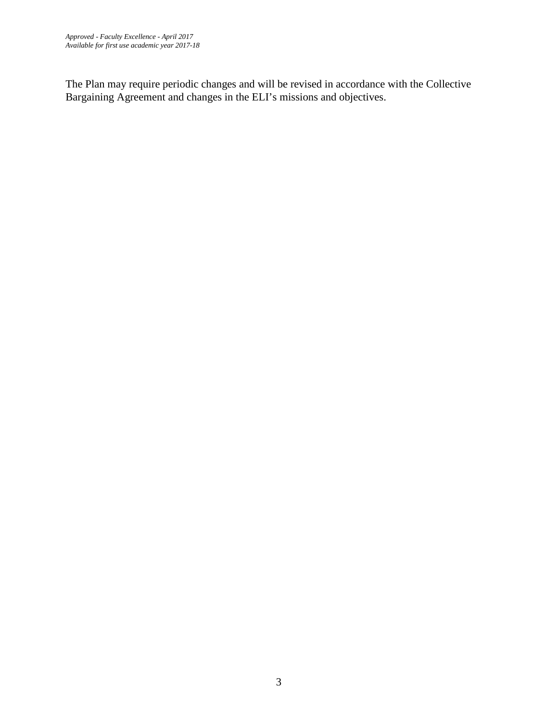The Plan may require periodic changes and will be revised in accordance with the Collective Bargaining Agreement and changes in the ELI's missions and objectives.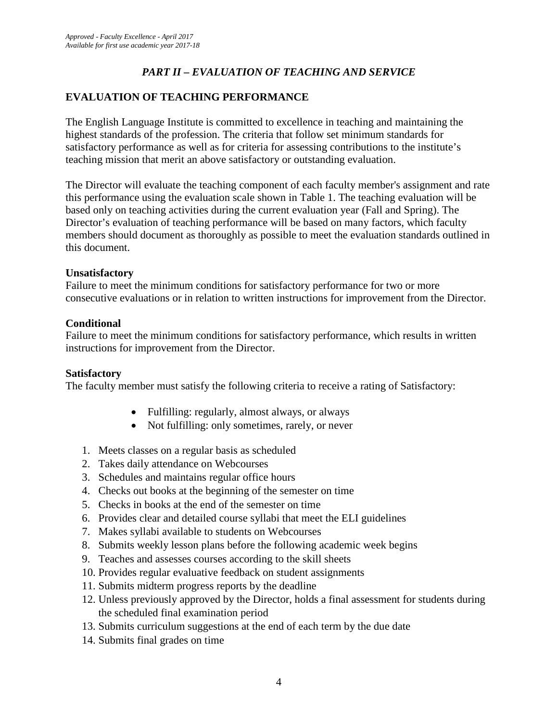## *PART II – EVALUATION OF TEACHING AND SERVICE*

## **EVALUATION OF TEACHING PERFORMANCE**

The English Language Institute is committed to excellence in teaching and maintaining the highest standards of the profession. The criteria that follow set minimum standards for satisfactory performance as well as for criteria for assessing contributions to the institute's teaching mission that merit an above satisfactory or outstanding evaluation.

The Director will evaluate the teaching component of each faculty member's assignment and rate this performance using the evaluation scale shown in Table 1. The teaching evaluation will be based only on teaching activities during the current evaluation year (Fall and Spring). The Director's evaluation of teaching performance will be based on many factors, which faculty members should document as thoroughly as possible to meet the evaluation standards outlined in this document.

#### **Unsatisfactory**

Failure to meet the minimum conditions for satisfactory performance for two or more consecutive evaluations or in relation to written instructions for improvement from the Director.

#### **Conditional**

Failure to meet the minimum conditions for satisfactory performance, which results in written instructions for improvement from the Director.

#### **Satisfactory**

The faculty member must satisfy the following criteria to receive a rating of Satisfactory:

- Fulfilling: regularly, almost always, or always
- Not fulfilling: only sometimes, rarely, or never
- 1. Meets classes on a regular basis as scheduled
- 2. Takes daily attendance on Webcourses
- 3. Schedules and maintains regular office hours
- 4. Checks out books at the beginning of the semester on time
- 5. Checks in books at the end of the semester on time
- 6. Provides clear and detailed course syllabi that meet the ELI guidelines
- 7. Makes syllabi available to students on Webcourses
- 8. Submits weekly lesson plans before the following academic week begins
- 9. Teaches and assesses courses according to the skill sheets
- 10. Provides regular evaluative feedback on student assignments
- 11. Submits midterm progress reports by the deadline
- 12. Unless previously approved by the Director, holds a final assessment for students during the scheduled final examination period
- 13. Submits curriculum suggestions at the end of each term by the due date
- 14. Submits final grades on time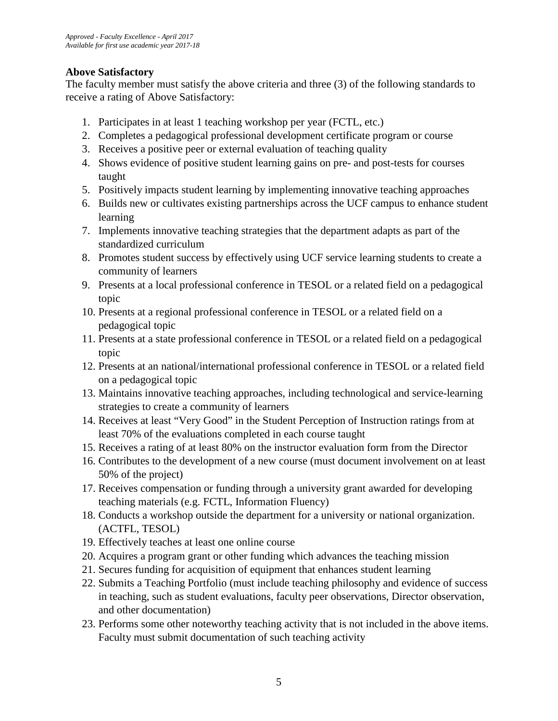## **Above Satisfactory**

The faculty member must satisfy the above criteria and three (3) of the following standards to receive a rating of Above Satisfactory:

- 1. Participates in at least 1 teaching workshop per year (FCTL, etc.)
- 2. Completes a pedagogical professional development certificate program or course
- 3. Receives a positive peer or external evaluation of teaching quality
- 4. Shows evidence of positive student learning gains on pre- and post-tests for courses taught
- 5. Positively impacts student learning by implementing innovative teaching approaches
- 6. Builds new or cultivates existing partnerships across the UCF campus to enhance student learning
- 7. Implements innovative teaching strategies that the department adapts as part of the standardized curriculum
- 8. Promotes student success by effectively using UCF service learning students to create a community of learners
- 9. Presents at a local professional conference in TESOL or a related field on a pedagogical topic
- 10. Presents at a regional professional conference in TESOL or a related field on a pedagogical topic
- 11. Presents at a state professional conference in TESOL or a related field on a pedagogical topic
- 12. Presents at an national/international professional conference in TESOL or a related field on a pedagogical topic
- 13. Maintains innovative teaching approaches, including technological and service-learning strategies to create a community of learners
- 14. Receives at least "Very Good" in the Student Perception of Instruction ratings from at least 70% of the evaluations completed in each course taught
- 15. Receives a rating of at least 80% on the instructor evaluation form from the Director
- 16. Contributes to the development of a new course (must document involvement on at least 50% of the project)
- 17. Receives compensation or funding through a university grant awarded for developing teaching materials (e.g. FCTL, Information Fluency)
- 18. Conducts a workshop outside the department for a university or national organization. (ACTFL, TESOL)
- 19. Effectively teaches at least one online course
- 20. Acquires a program grant or other funding which advances the teaching mission
- 21. Secures funding for acquisition of equipment that enhances student learning
- 22. Submits a Teaching Portfolio (must include teaching philosophy and evidence of success in teaching, such as student evaluations, faculty peer observations, Director observation, and other documentation)
- 23. Performs some other noteworthy teaching activity that is not included in the above items. Faculty must submit documentation of such teaching activity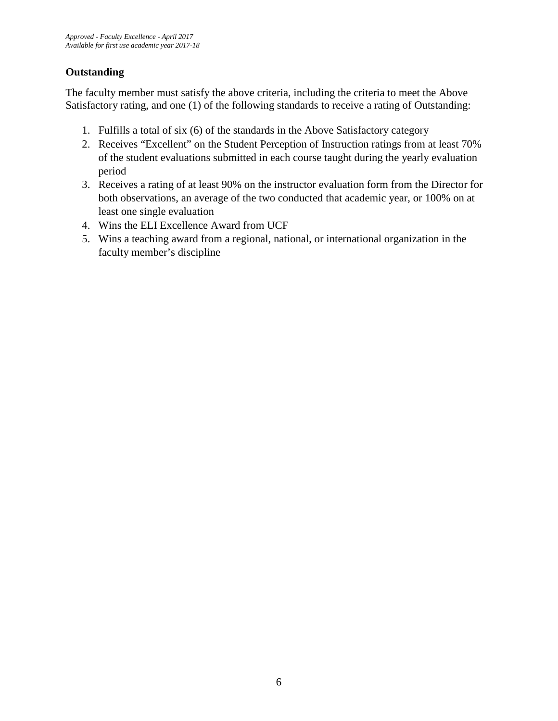## **Outstanding**

The faculty member must satisfy the above criteria, including the criteria to meet the Above Satisfactory rating, and one (1) of the following standards to receive a rating of Outstanding:

- 1. Fulfills a total of six (6) of the standards in the Above Satisfactory category
- 2. Receives "Excellent" on the Student Perception of Instruction ratings from at least 70% of the student evaluations submitted in each course taught during the yearly evaluation period
- 3. Receives a rating of at least 90% on the instructor evaluation form from the Director for both observations, an average of the two conducted that academic year, or 100% on at least one single evaluation
- 4. Wins the ELI Excellence Award from UCF
- 5. Wins a teaching award from a regional, national, or international organization in the faculty member's discipline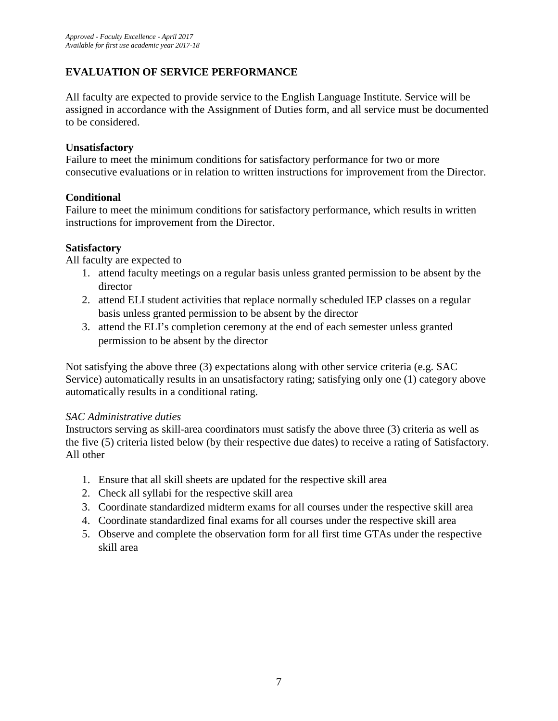## **EVALUATION OF SERVICE PERFORMANCE**

All faculty are expected to provide service to the English Language Institute. Service will be assigned in accordance with the Assignment of Duties form, and all service must be documented to be considered.

### **Unsatisfactory**

Failure to meet the minimum conditions for satisfactory performance for two or more consecutive evaluations or in relation to written instructions for improvement from the Director.

## **Conditional**

Failure to meet the minimum conditions for satisfactory performance, which results in written instructions for improvement from the Director.

#### **Satisfactory**

All faculty are expected to

- 1. attend faculty meetings on a regular basis unless granted permission to be absent by the director
- 2. attend ELI student activities that replace normally scheduled IEP classes on a regular basis unless granted permission to be absent by the director
- 3. attend the ELI's completion ceremony at the end of each semester unless granted permission to be absent by the director

Not satisfying the above three (3) expectations along with other service criteria (e.g. SAC Service) automatically results in an unsatisfactory rating; satisfying only one (1) category above automatically results in a conditional rating.

## *SAC Administrative duties*

Instructors serving as skill-area coordinators must satisfy the above three (3) criteria as well as the five (5) criteria listed below (by their respective due dates) to receive a rating of Satisfactory. All other

- 1. Ensure that all skill sheets are updated for the respective skill area
- 2. Check all syllabi for the respective skill area
- 3. Coordinate standardized midterm exams for all courses under the respective skill area
- 4. Coordinate standardized final exams for all courses under the respective skill area
- 5. Observe and complete the observation form for all first time GTAs under the respective skill area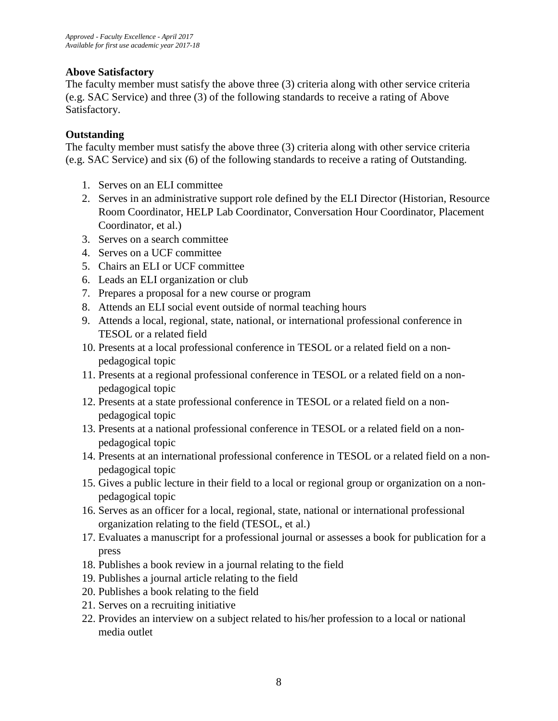## **Above Satisfactory**

The faculty member must satisfy the above three (3) criteria along with other service criteria (e.g. SAC Service) and three (3) of the following standards to receive a rating of Above Satisfactory.

## **Outstanding**

The faculty member must satisfy the above three (3) criteria along with other service criteria (e.g. SAC Service) and six (6) of the following standards to receive a rating of Outstanding.

- 1. Serves on an ELI committee
- 2. Serves in an administrative support role defined by the ELI Director (Historian, Resource Room Coordinator, HELP Lab Coordinator, Conversation Hour Coordinator, Placement Coordinator, et al.)
- 3. Serves on a search committee
- 4. Serves on a UCF committee
- 5. Chairs an ELI or UCF committee
- 6. Leads an ELI organization or club
- 7. Prepares a proposal for a new course or program
- 8. Attends an ELI social event outside of normal teaching hours
- 9. Attends a local, regional, state, national, or international professional conference in TESOL or a related field
- 10. Presents at a local professional conference in TESOL or a related field on a nonpedagogical topic
- 11. Presents at a regional professional conference in TESOL or a related field on a nonpedagogical topic
- 12. Presents at a state professional conference in TESOL or a related field on a nonpedagogical topic
- 13. Presents at a national professional conference in TESOL or a related field on a nonpedagogical topic
- 14. Presents at an international professional conference in TESOL or a related field on a nonpedagogical topic
- 15. Gives a public lecture in their field to a local or regional group or organization on a nonpedagogical topic
- 16. Serves as an officer for a local, regional, state, national or international professional organization relating to the field (TESOL, et al.)
- 17. Evaluates a manuscript for a professional journal or assesses a book for publication for a press
- 18. Publishes a book review in a journal relating to the field
- 19. Publishes a journal article relating to the field
- 20. Publishes a book relating to the field
- 21. Serves on a recruiting initiative
- 22. Provides an interview on a subject related to his/her profession to a local or national media outlet